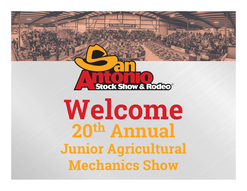

### Welcome 20th AnnualJunior Agricultural Mechanics Show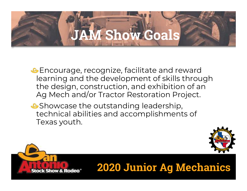### **AM Show Goals**

**Encourage, recognize, facilitate and reward** learning and the development of skills through the design, construction, and exhibition of an Encourage, recognize, facilitate and reward<br>learning and the development of skills through<br>the design, construction, and exhibition of an<br>Ag Mech and/or Tractor Restoration Project.<br>Showcase the outstanding leadership

**Showcase the outstanding leadership,** technical abilities and accomplishments of Texas youth.



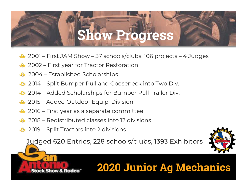## Show Progress **Show Progress**<br>2001 – First JAM Show – 37 schools/clubs, 106 projects – 4 Judges<br>2002 – First year for Tractor Restoration **1999 – Show Progres:**<br>2001 – First JAM Show – 37 schools/clubs, 106 proje<br>2002 – First year for Tractor Restoration<br>2004 – Established Scholarships

- 2001 First JAM Show 37 schools/club<br>2002 First year for Tractor Restoration<br>2004 Established Scholarships<br>2014 Split Bumper Pull and Gooseneck 2001 – First JAM Show – 37 schools/clubs, 106 projects – 4<br>2002 – First year for Tractor Restoration<br>2004 – Established Scholarships<br>2014 – Split Bumper Pull and Gooseneck into Two Div.<br>2014 – Added Scholarships for Bumper
- 
- 
- 2001 First JAM Snow 37 schools/clubs, 106 projects 4 .<br>2002 First year for Tractor Restoration<br>2004 Established Scholarships<br>2014 Split Bumper Pull and Gooseneck into Two Div.<br>2014 Added Scholarships for Bump 2002 – First year for Tractor Restoration<br>2004 – Established Scholarships<br>2014 – Split Bumper Pull and Gooseneck into Tw<br>2014 – Added Scholarships for Bumper Pull Trail<br>2015 – Added Outdoor Equip. Division<br>2016 – First yea 2004 – Established Scholarships<br>2014 – Split Bumper Pull and Gooseneck into Two I<br>2014 – Added Scholarships for Bumper Pull Trailer<br>2015 – Added Outdoor Equip. Division<br>2016 – First year as a separate committee<br>2018 – Redi
- 2014 Split Bumper Pull and Gooseneck into Two D<br>2014 Added Scholarships for Bumper Pull Trailer D<br>2015 Added Outdoor Equip. Division<br>2016 First year as a separate committee<br>2018 Redistributed classes into 12 divi
- 
- 
- 2015 Added Outdoor Equip. Division<br>2016 First year as a separate committee<br>2018 Redistributed classes into 12 divisions<br>2019 Split Tractors into 2 divisions
- 

Judged 620 Entries, 228 schools/clubs, 1393 Exhibitors

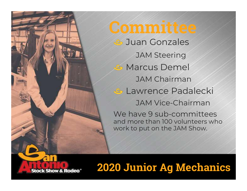

JAM Steering **& Marcus Demel** JAM Chairman *C* Lawrence Padalecki JAM Vice-Chairman We have 9 sub-committees and more than 100 volunteers who work to put on the JAM Show.

### 2020 Junior Ag Mechanics

Stack Show & Radeo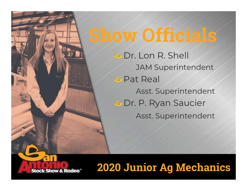## Show Officials

*G* Dr. Lon R. Shell JAM Superintendent *<b>GPat Real* Asst. Superintendent **GDr. P. Ryan Saucier** Asst. Superintendent

### 2020 Junior Ag Mechanics

Stack Show &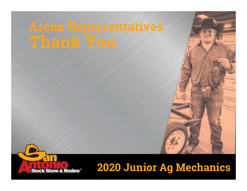# Arena Representatives

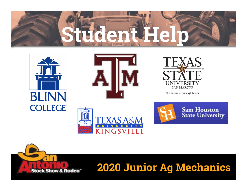







The rising STAR of Texas





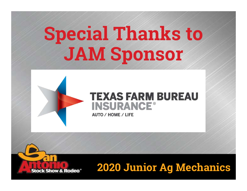# Special Thanks to JAM Sponsor

#### **TEXAS FARM BUREAU INSURANCE®**

**AUTO / HOME / LIFE** 

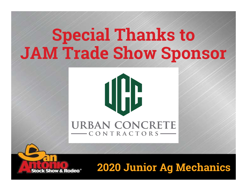### Special Thanks to JAM Trade Show Sponsor

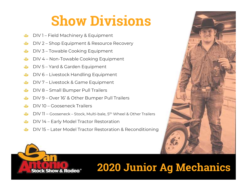### Show Divisions **Show Divisic<br>DIV1 – Field Machinery & Equipment<br>DIV 2 – Shop Equipment & Resource Recover Show Divisions**<br>DIV1 – Field Machinery & Equipment<br>DIV 2 – Shop Equipment & Resource Recovery<br>DIV 3 – Towable Cooking Equipment Show Dividerical Cooking Equipment<br>DIV 1 – Field Machinery & Equipment<br>DIV 3 – Towable Cooking Equipment<br>DIV 4 – Non-Towable Cooking Equipment DIV 1 – Field Machinery & Equipment<br>DIV 2 – Shop Equipment & Resource Recovery<br>DIV 3 – Towable Cooking Equipment<br>DIV 4 – Non-Towable Cooking Equipment<br>DIV 5 – Yard & Garden Equipment

- $\clubsuit$
- DIV 1 Field Machinery & Equipment<br>DIV 2 Shop Equipment & Resource Reco<br>DIV 3 Towable Cooking Equipment<br>DIV 4 Non-Towable Cooking Equipment<br>DIV 5 Yard & Garden Equipment<br>DIV 6 Livestock Handling Equipment DIV 2 – Shop Equipment & Resource Recovery<br>DIV 3 – Towable Cooking Equipment<br>DIV 4 – Non-Towable Cooking Equipment<br>DIV 5 – Yard & Garden Equipment<br>DIV 6 – Livestock Handling Equipment<br>DIV 6 – Livestock & Game Equipment  $\clubsuit$
- 
- DIV 3 Towable Cooking Equipment<br>DIV 4 Non-Towable Cooking Equipment<br>DIV 5 Yard & Garden Equipment<br>DIV 6 Livestock Handling Equipment<br>DIV 7 Livestock & Game Equipment<br>DIV 7 Livestock & Game Equipment<br>DIV 8 Sma DIV 4 – Non-Towable Cooking Equipment<br>DIV 5 – Yard & Garden Equipment<br>DIV 6 – Livestock Handling Equipment<br>DIV 7 – Livestock & Game Equipment<br>DIV 8 – Small Bumper Pull Trailers<br>DIV 8 – Small Bumper Pull Trailers<br>DIV 9 – Ov
- 
- DIV 6 Livestock Handling Equipmen<br>DIV 7 Livestock & Game Equipment<br>DIV 8 Small Bumper Pull Trailers<br>DIV 9 Over 16' & Other Bumper Pull<br>DIV 10 Gooseneck Trailers<br>DIV 11 Gooseneck Stock, Multi-bale, 5<sup>th</sup> \
- 
- 
- DIV 5 Yard & Garden Equipment<br>DIV 6 Livestock Handling Equipment<br>DIV 7 Livestock & Game Equipment<br>DIV 8 Small Bumper Pull Trailers<br>DIV 9 Over 16' & Other Bumper Pull Trailers<br>DIV 10 Gooseneck Trailers
- 
- 
- 
- DIV 8 Small Bumper Pull Trailers<br>DIV 9 Over 16' & Other Bumper Pull Trailers<br>DIV 10 Gooseneck Trailers<br>DIV 11 Gooseneck Stock, Multi-bale, 5<sup>th</sup> Wheel & Other Traile<br>DIV 14 Early Model Tractor Restoration<br>DIV 1 DIV 9 – Over 16' & Other Bumper Pull Trailers<br>DIV 10 – Gooseneck Trailers<br>DIV 11 – Gooseneck – Stock, Multi-bale, 5<sup>th</sup> Wheel & Other Trailers<br>DIV 14 – Early Model Tractor Restoration<br>DIV 15 – Later Model Tractor Restorati



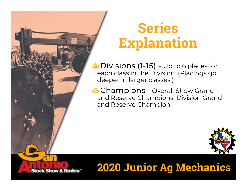

### Series Explanation

**Deffies**<br> **Explanation**<br>
Divisions (1-15) - Up to 6 places for<br>
Placings go each class in the Division. (Placings go deeper in larger classes.)

**Champions - Overall Show Grand** and Reserve Champions. Division Grand and Reserve Champion.